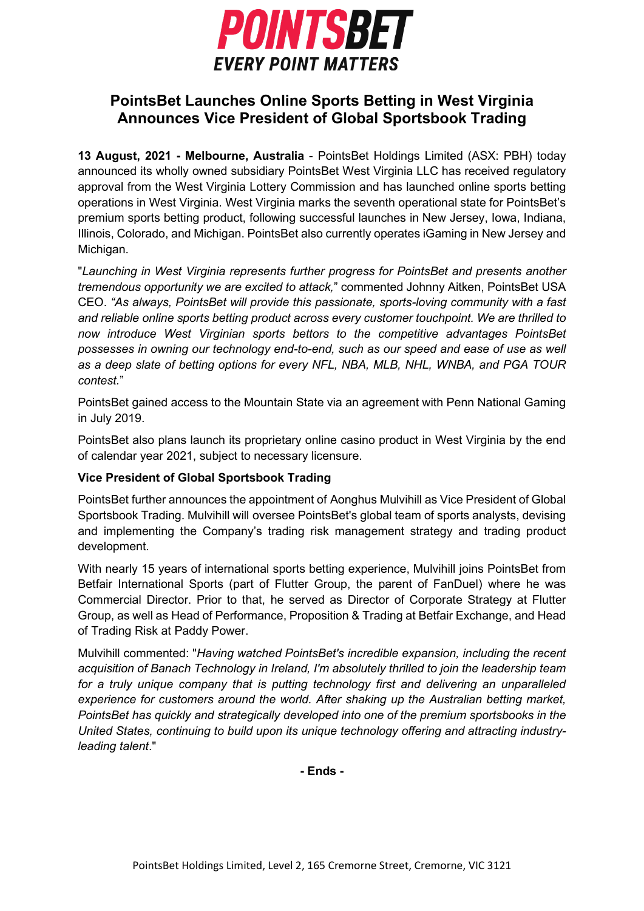

## **PointsBet Launches Online Sports Betting in West Virginia Announces Vice President of Global Sportsbook Trading**

**13 August, 2021 - Melbourne, Australia** - PointsBet Holdings Limited (ASX: PBH) today announced its wholly owned subsidiary PointsBet West Virginia LLC has received regulatory approval from the West Virginia Lottery Commission and has launched online sports betting operations in West Virginia. West Virginia marks the seventh operational state for PointsBet's premium sports betting product, following successful launches in New Jersey, Iowa, Indiana, Illinois, Colorado, and Michigan. PointsBet also currently operates iGaming in New Jersey and Michigan.

"*Launching in West Virginia represents further progress for PointsBet and presents another tremendous opportunity we are excited to attack,*" commented Johnny Aitken, PointsBet USA CEO. *"As always, PointsBet will provide this passionate, sports-loving community with a fast and reliable online sports betting product across every customer touchpoint. We are thrilled to now introduce West Virginian sports bettors to the competitive advantages PointsBet possesses in owning our technology end-to-end, such as our speed and ease of use as well as a deep slate of betting options for every NFL, NBA, MLB, NHL, WNBA, and PGA TOUR contest.*"

PointsBet gained access to the Mountain State via [an agreement](https://www.businesswire.com/news/home/20190731005949/en/Penn-National-Gaming-Announces-Strategic-Partnerships-With-Leading-Sports-Book-Operators-for-Online-Sports-Betting-and-iGaming-Market-Access-to-the-Nation%E2%80%99s-Largest-Regional-Gaming-Portfolio) with Penn National Gaming in July 2019.

PointsBet also plans launch its proprietary online casino product in West Virginia by the end of calendar year 2021, subject to necessary licensure.

## **Vice President of Global Sportsbook Trading**

PointsBet further announces the appointment of Aonghus Mulvihill as Vice President of Global Sportsbook Trading. Mulvihill will oversee PointsBet's global team of sports analysts, devising and implementing the Company's trading risk management strategy and trading product development.

With nearly 15 years of international sports betting experience, Mulvihill joins PointsBet from Betfair International Sports (part of Flutter Group, the parent of FanDuel) where he was Commercial Director. Prior to that, he served as Director of Corporate Strategy at Flutter Group, as well as Head of Performance, Proposition & Trading at Betfair Exchange, and Head of Trading Risk at Paddy Power.

Mulvihill commented: "*Having watched PointsBet's incredible expansion, including the recent acquisition of Banach Technology in Ireland, I'm absolutely thrilled to join the leadership team for a truly unique company that is putting technology first and delivering an unparalleled experience for customers around the world. After shaking up the Australian betting market, PointsBet has quickly and strategically developed into one of the premium sportsbooks in the United States, continuing to build upon its unique technology offering and attracting industryleading talent*."

**- Ends -**